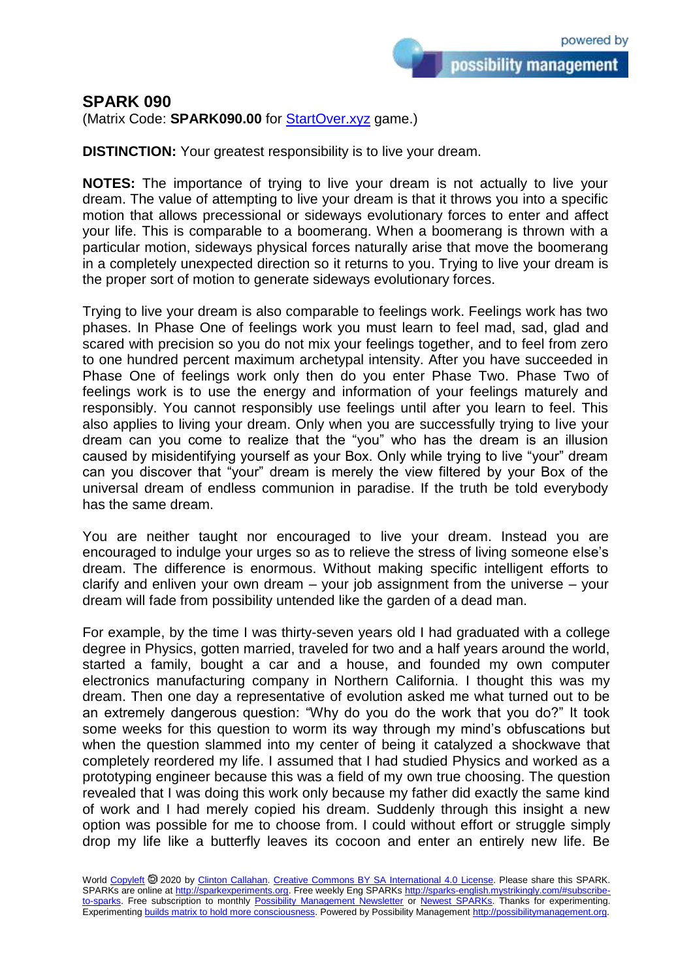possibility management

(Matrix Code: **SPARK090.00** for [StartOver.xyz](https://startoverxyz.mystrikingly.com/) game.)

**DISTINCTION:** Your greatest responsibility is to live your dream.

**NOTES:** The importance of trying to live your dream is not actually to live your dream. The value of attempting to live your dream is that it throws you into a specific motion that allows precessional or sideways evolutionary forces to enter and affect your life. This is comparable to a boomerang. When a boomerang is thrown with a particular motion, sideways physical forces naturally arise that move the boomerang in a completely unexpected direction so it returns to you. Trying to live your dream is the proper sort of motion to generate sideways evolutionary forces.

Trying to live your dream is also comparable to feelings work. Feelings work has two phases. In Phase One of feelings work you must learn to feel mad, sad, glad and scared with precision so you do not mix your feelings together, and to feel from zero to one hundred percent maximum archetypal intensity. After you have succeeded in Phase One of feelings work only then do you enter Phase Two. Phase Two of feelings work is to use the energy and information of your feelings maturely and responsibly. You cannot responsibly use feelings until after you learn to feel. This also applies to living your dream. Only when you are successfully trying to live your dream can you come to realize that the "you" who has the dream is an illusion caused by misidentifying yourself as your Box. Only while trying to live "your" dream can you discover that "your" dream is merely the view filtered by your Box of the universal dream of endless communion in paradise. If the truth be told everybody has the same dream.

You are neither taught nor encouraged to live your dream. Instead you are encouraged to indulge your urges so as to relieve the stress of living someone else's dream. The difference is enormous. Without making specific intelligent efforts to clarify and enliven your own dream – your job assignment from the universe – your dream will fade from possibility untended like the garden of a dead man.

For example, by the time I was thirty-seven years old I had graduated with a college degree in Physics, gotten married, traveled for two and a half years around the world, started a family, bought a car and a house, and founded my own computer electronics manufacturing company in Northern California. I thought this was my dream. Then one day a representative of evolution asked me what turned out to be an extremely dangerous question: "Why do you do the work that you do?" It took some weeks for this question to worm its way through my mind's obfuscations but when the question slammed into my center of being it catalyzed a shockwave that completely reordered my life. I assumed that I had studied Physics and worked as a prototyping engineer because this was a field of my own true choosing. The question revealed that I was doing this work only because my father did exactly the same kind of work and I had merely copied his dream. Suddenly through this insight a new option was possible for me to choose from. I could without effort or struggle simply drop my life like a butterfly leaves its cocoon and enter an entirely new life. Be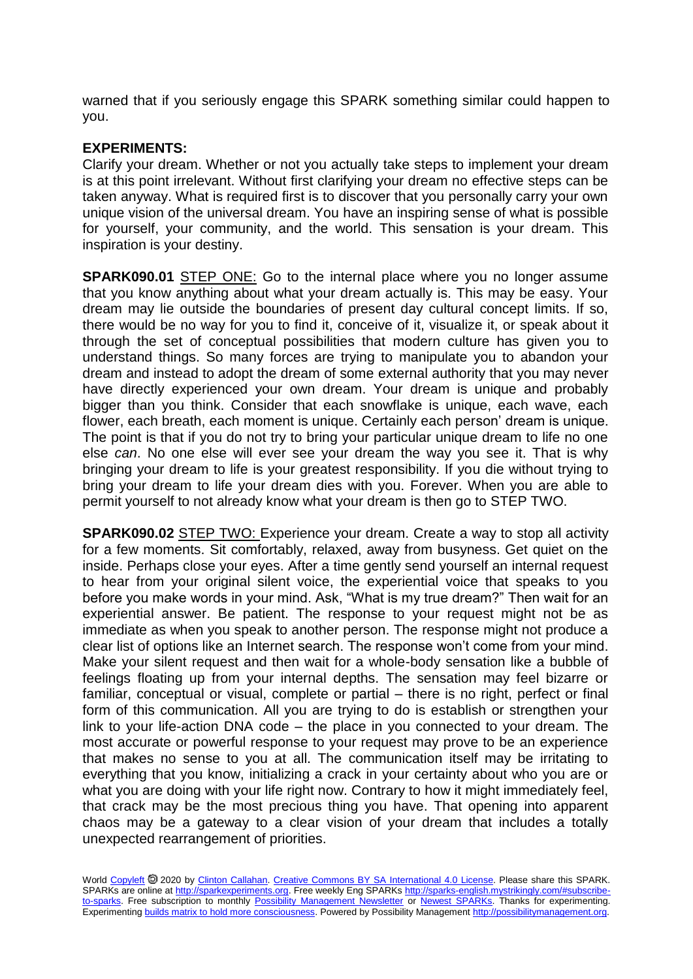warned that if you seriously engage this SPARK something similar could happen to you.

## **EXPERIMENTS:**

Clarify your dream. Whether or not you actually take steps to implement your dream is at this point irrelevant. Without first clarifying your dream no effective steps can be taken anyway. What is required first is to discover that you personally carry your own unique vision of the universal dream. You have an inspiring sense of what is possible for yourself, your community, and the world. This sensation is your dream. This inspiration is your destiny.

**SPARK090.01** STEP ONE: Go to the internal place where you no longer assume that you know anything about what your dream actually is. This may be easy. Your dream may lie outside the boundaries of present day cultural concept limits. If so, there would be no way for you to find it, conceive of it, visualize it, or speak about it through the set of conceptual possibilities that modern culture has given you to understand things. So many forces are trying to manipulate you to abandon your dream and instead to adopt the dream of some external authority that you may never have directly experienced your own dream. Your dream is unique and probably bigger than you think. Consider that each snowflake is unique, each wave, each flower, each breath, each moment is unique. Certainly each person' dream is unique. The point is that if you do not try to bring your particular unique dream to life no one else *can*. No one else will ever see your dream the way you see it. That is why bringing your dream to life is your greatest responsibility. If you die without trying to bring your dream to life your dream dies with you. Forever. When you are able to permit yourself to not already know what your dream is then go to STEP TWO.

**SPARK090.02** STEP TWO: Experience your dream. Create a way to stop all activity for a few moments. Sit comfortably, relaxed, away from busyness. Get quiet on the inside. Perhaps close your eyes. After a time gently send yourself an internal request to hear from your original silent voice, the experiential voice that speaks to you before you make words in your mind. Ask, "What is my true dream?" Then wait for an experiential answer. Be patient. The response to your request might not be as immediate as when you speak to another person. The response might not produce a clear list of options like an Internet search. The response won't come from your mind. Make your silent request and then wait for a whole-body sensation like a bubble of feelings floating up from your internal depths. The sensation may feel bizarre or familiar, conceptual or visual, complete or partial – there is no right, perfect or final form of this communication. All you are trying to do is establish or strengthen your link to your life-action DNA code – the place in you connected to your dream. The most accurate or powerful response to your request may prove to be an experience that makes no sense to you at all. The communication itself may be irritating to everything that you know, initializing a crack in your certainty about who you are or what you are doing with your life right now. Contrary to how it might immediately feel, that crack may be the most precious thing you have. That opening into apparent chaos may be a gateway to a clear vision of your dream that includes a totally unexpected rearrangement of priorities.

World [Copyleft](https://en.wikipedia.org/wiki/Copyleft) @ 2020 by [Clinton Callahan.](http://clintoncallahan.mystrikingly.com/) [Creative Commons BY SA International 4.0 License.](https://creativecommons.org/licenses/by-sa/4.0/) Please share this SPARK. SPARKs are online at [http://sparkexperiments.org.](http://sparks-english.mystrikingly.com/) Free weekly Eng SPARKs [http://sparks-english.mystrikingly.com/#subscribe](http://sparks-english.mystrikingly.com/#subscribe-to-sparks)[to-sparks.](http://sparks-english.mystrikingly.com/#subscribe-to-sparks) Free subscription to monthly [Possibility Management Newsletter](https://possibilitymanagement.org/news/) or [Newest SPARKs.](https://www.clintoncallahan.org/newsletter-1) Thanks for experimenting. Experimentin[g builds matrix to hold more consciousness.](http://spaceport.mystrikingly.com/) Powered by Possibility Managemen[t http://possibilitymanagement.org.](http://possibilitymanagement.org/)